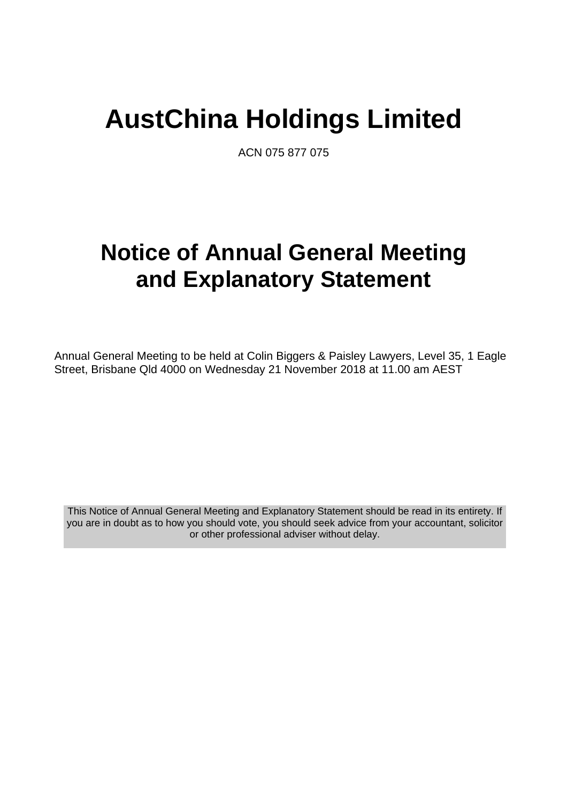# **AustChina Holdings Limited**

ACN 075 877 075

# **Notice of Annual General Meeting and Explanatory Statement**

Annual General Meeting to be held at Colin Biggers & Paisley Lawyers, Level 35, 1 Eagle Street, Brisbane Qld 4000 on Wednesday 21 November 2018 at 11.00 am AEST

This Notice of Annual General Meeting and Explanatory Statement should be read in its entirety. If you are in doubt as to how you should vote, you should seek advice from your accountant, solicitor or other professional adviser without delay.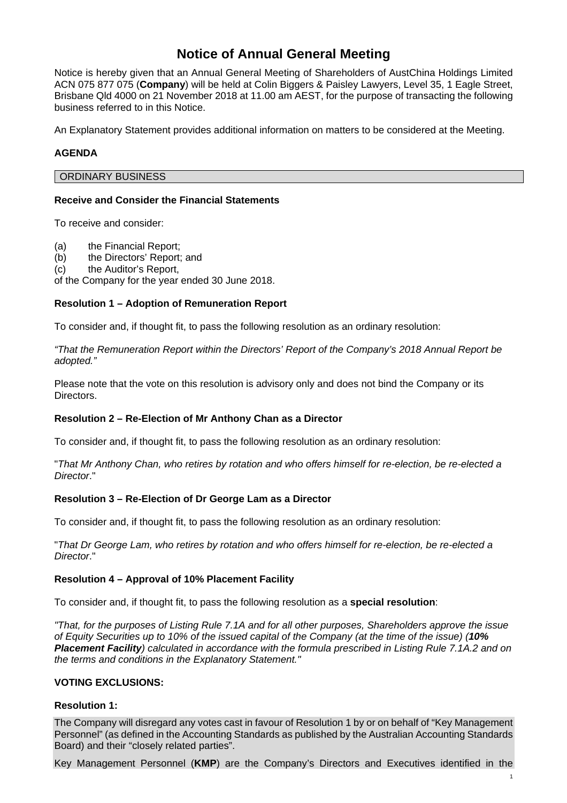## **Notice of Annual General Meeting**

Notice is hereby given that an Annual General Meeting of Shareholders of AustChina Holdings Limited ACN 075 877 075 (**Company**) will be held at Colin Biggers & Paisley Lawyers, Level 35, 1 Eagle Street, Brisbane Qld 4000 on 21 November 2018 at 11.00 am AEST, for the purpose of transacting the following business referred to in this Notice.

An Explanatory Statement provides additional information on matters to be considered at the Meeting.

#### **AGENDA**

#### ORDINARY BUSINESS

#### **Receive and Consider the Financial Statements**

To receive and consider:

(a) the Financial Report;

(b) the Directors' Report; and

(c) the Auditor's Report,

of the Company for the year ended 30 June 2018.

#### **Resolution 1 – Adoption of Remuneration Report**

To consider and, if thought fit, to pass the following resolution as an ordinary resolution:

*"That the Remuneration Report within the Directors' Report of the Company's 2018 Annual Report be adopted."* 

Please note that the vote on this resolution is advisory only and does not bind the Company or its Directors.

#### **Resolution 2 – Re-Election of Mr Anthony Chan as a Director**

To consider and, if thought fit, to pass the following resolution as an ordinary resolution:

"*That Mr Anthony Chan, who retires by rotation and who offers himself for re-election, be re-elected a Director*."

#### **Resolution 3 – Re-Election of Dr George Lam as a Director**

To consider and, if thought fit, to pass the following resolution as an ordinary resolution:

"*That Dr George Lam, who retires by rotation and who offers himself for re-election, be re-elected a Director*."

#### **Resolution 4 – Approval of 10% Placement Facility**

To consider and, if thought fit, to pass the following resolution as a **special resolution**:

*"That, for the purposes of Listing Rule 7.1A and for all other purposes, Shareholders approve the issue of Equity Securities up to 10% of the issued capital of the Company (at the time of the issue) (10% Placement Facility) calculated in accordance with the formula prescribed in Listing Rule 7.1A.2 and on the terms and conditions in the Explanatory Statement."* 

#### **VOTING EXCLUSIONS:**

#### **Resolution 1:**

The Company will disregard any votes cast in favour of Resolution 1 by or on behalf of "Key Management Personnel" (as defined in the Accounting Standards as published by the Australian Accounting Standards Board) and their "closely related parties".

Key Management Personnel (**KMP**) are the Company's Directors and Executives identified in the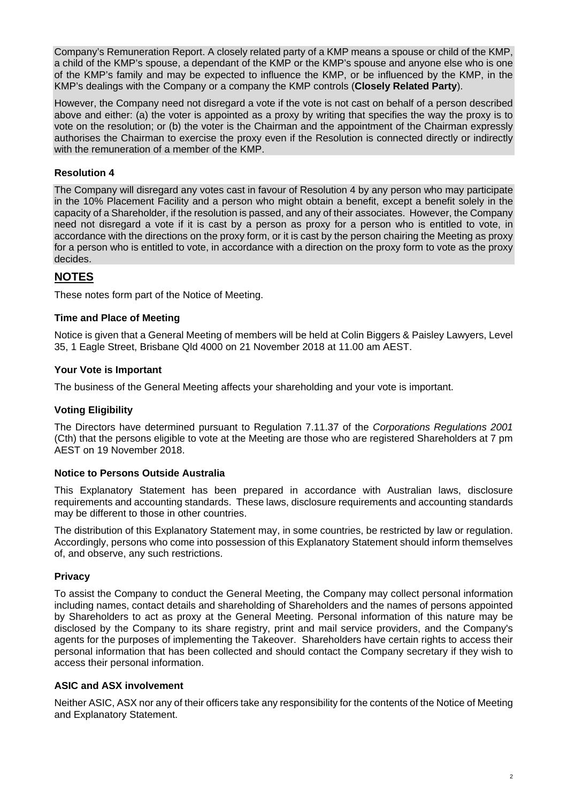Company's Remuneration Report. A closely related party of a KMP means a spouse or child of the KMP, a child of the KMP's spouse, a dependant of the KMP or the KMP's spouse and anyone else who is one of the KMP's family and may be expected to influence the KMP, or be influenced by the KMP, in the KMP's dealings with the Company or a company the KMP controls (**Closely Related Party**).

However, the Company need not disregard a vote if the vote is not cast on behalf of a person described above and either: (a) the voter is appointed as a proxy by writing that specifies the way the proxy is to vote on the resolution; or (b) the voter is the Chairman and the appointment of the Chairman expressly authorises the Chairman to exercise the proxy even if the Resolution is connected directly or indirectly with the remuneration of a member of the KMP.

#### **Resolution 4**

The Company will disregard any votes cast in favour of Resolution 4 by any person who may participate in the 10% Placement Facility and a person who might obtain a benefit, except a benefit solely in the capacity of a Shareholder, if the resolution is passed, and any of their associates. However, the Company need not disregard a vote if it is cast by a person as proxy for a person who is entitled to vote, in accordance with the directions on the proxy form, or it is cast by the person chairing the Meeting as proxy for a person who is entitled to vote, in accordance with a direction on the proxy form to vote as the proxy decides.

### **NOTES**

These notes form part of the Notice of Meeting.

#### **Time and Place of Meeting**

Notice is given that a General Meeting of members will be held at Colin Biggers & Paisley Lawyers, Level 35, 1 Eagle Street, Brisbane Qld 4000 on 21 November 2018 at 11.00 am AEST.

#### **Your Vote is Important**

The business of the General Meeting affects your shareholding and your vote is important.

#### **Voting Eligibility**

The Directors have determined pursuant to Regulation 7.11.37 of the *Corporations Regulations 2001*  (Cth) that the persons eligible to vote at the Meeting are those who are registered Shareholders at 7 pm AEST on 19 November 2018.

#### **Notice to Persons Outside Australia**

This Explanatory Statement has been prepared in accordance with Australian laws, disclosure requirements and accounting standards. These laws, disclosure requirements and accounting standards may be different to those in other countries.

The distribution of this Explanatory Statement may, in some countries, be restricted by law or regulation. Accordingly, persons who come into possession of this Explanatory Statement should inform themselves of, and observe, any such restrictions.

#### **Privacy**

To assist the Company to conduct the General Meeting, the Company may collect personal information including names, contact details and shareholding of Shareholders and the names of persons appointed by Shareholders to act as proxy at the General Meeting. Personal information of this nature may be disclosed by the Company to its share registry, print and mail service providers, and the Company's agents for the purposes of implementing the Takeover. Shareholders have certain rights to access their personal information that has been collected and should contact the Company secretary if they wish to access their personal information.

#### **ASIC and ASX involvement**

Neither ASIC, ASX nor any of their officers take any responsibility for the contents of the Notice of Meeting and Explanatory Statement.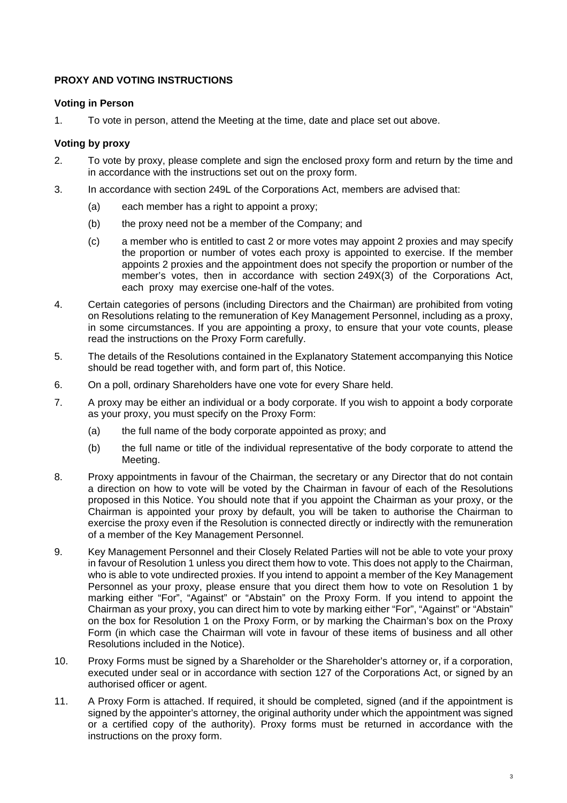#### **PROXY AND VOTING INSTRUCTIONS**

#### **Voting in Person**

1. To vote in person, attend the Meeting at the time, date and place set out above.

#### **Voting by proxy**

- 2. To vote by proxy, please complete and sign the enclosed proxy form and return by the time and in accordance with the instructions set out on the proxy form.
- 3. In accordance with section 249L of the Corporations Act, members are advised that:
	- (a) each member has a right to appoint a proxy;
	- (b) the proxy need not be a member of the Company; and
	- (c) a member who is entitled to cast 2 or more votes may appoint 2 proxies and may specify the proportion or number of votes each proxy is appointed to exercise. If the member appoints 2 proxies and the appointment does not specify the proportion or number of the member's votes, then in accordance with section 249X(3) of the Corporations Act, each proxy may exercise one-half of the votes.
- 4. Certain categories of persons (including Directors and the Chairman) are prohibited from voting on Resolutions relating to the remuneration of Key Management Personnel, including as a proxy, in some circumstances. If you are appointing a proxy, to ensure that your vote counts, please read the instructions on the Proxy Form carefully.
- 5. The details of the Resolutions contained in the Explanatory Statement accompanying this Notice should be read together with, and form part of, this Notice.
- 6. On a poll, ordinary Shareholders have one vote for every Share held.
- 7. A proxy may be either an individual or a body corporate. If you wish to appoint a body corporate as your proxy, you must specify on the Proxy Form:
	- (a) the full name of the body corporate appointed as proxy; and
	- (b) the full name or title of the individual representative of the body corporate to attend the Meeting.
- 8. Proxy appointments in favour of the Chairman, the secretary or any Director that do not contain a direction on how to vote will be voted by the Chairman in favour of each of the Resolutions proposed in this Notice. You should note that if you appoint the Chairman as your proxy, or the Chairman is appointed your proxy by default, you will be taken to authorise the Chairman to exercise the proxy even if the Resolution is connected directly or indirectly with the remuneration of a member of the Key Management Personnel.
- 9. Key Management Personnel and their Closely Related Parties will not be able to vote your proxy in favour of Resolution 1 unless you direct them how to vote. This does not apply to the Chairman, who is able to vote undirected proxies. If you intend to appoint a member of the Key Management Personnel as your proxy, please ensure that you direct them how to vote on Resolution 1 by marking either "For", "Against" or "Abstain" on the Proxy Form. If you intend to appoint the Chairman as your proxy, you can direct him to vote by marking either "For", "Against" or "Abstain" on the box for Resolution 1 on the Proxy Form, or by marking the Chairman's box on the Proxy Form (in which case the Chairman will vote in favour of these items of business and all other Resolutions included in the Notice).
- 10. Proxy Forms must be signed by a Shareholder or the Shareholder's attorney or, if a corporation, executed under seal or in accordance with section 127 of the Corporations Act, or signed by an authorised officer or agent.
- 11. A Proxy Form is attached. If required, it should be completed, signed (and if the appointment is signed by the appointer's attorney, the original authority under which the appointment was signed or a certified copy of the authority). Proxy forms must be returned in accordance with the instructions on the proxy form.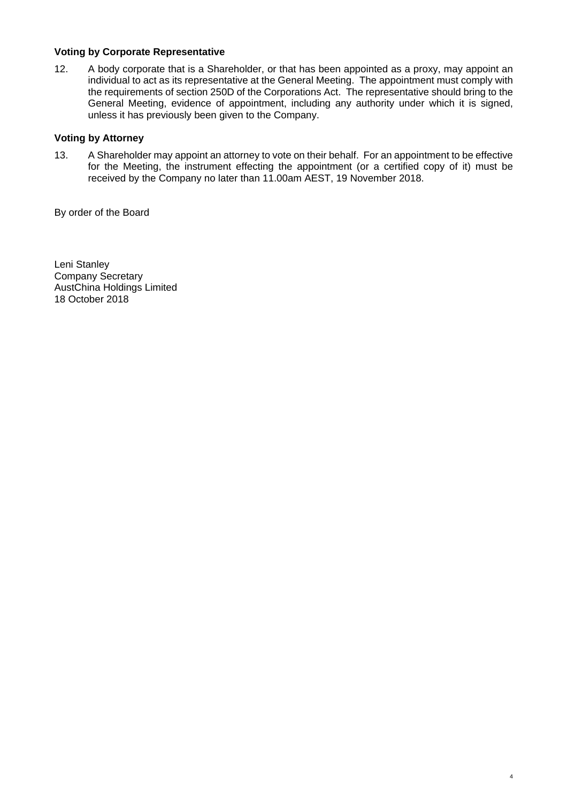#### **Voting by Corporate Representative**

12. A body corporate that is a Shareholder, or that has been appointed as a proxy, may appoint an individual to act as its representative at the General Meeting. The appointment must comply with the requirements of section 250D of the Corporations Act. The representative should bring to the General Meeting, evidence of appointment, including any authority under which it is signed, unless it has previously been given to the Company.

#### **Voting by Attorney**

13. A Shareholder may appoint an attorney to vote on their behalf. For an appointment to be effective for the Meeting, the instrument effecting the appointment (or a certified copy of it) must be received by the Company no later than 11.00am AEST, 19 November 2018.

4

By order of the Board

Leni Stanley Company Secretary AustChina Holdings Limited 18 October 2018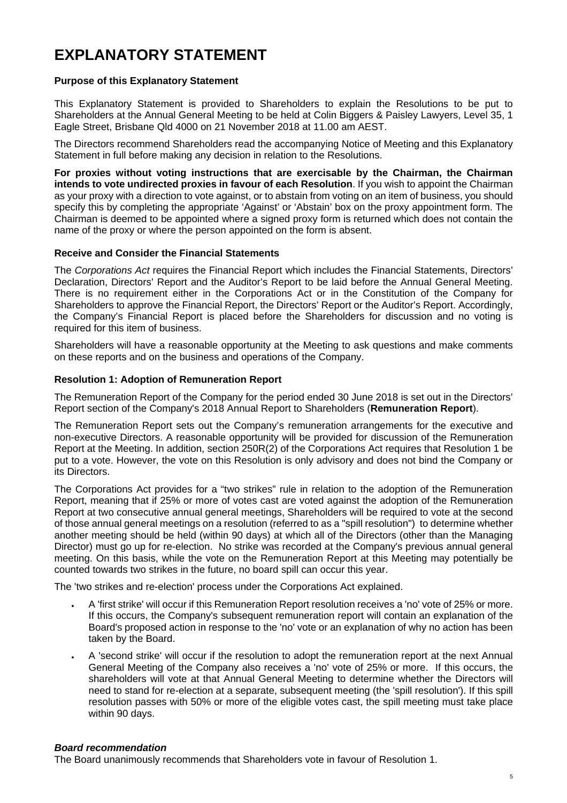# **EXPLANATORY STATEMENT**

#### **Purpose of this Explanatory Statement**

This Explanatory Statement is provided to Shareholders to explain the Resolutions to be put to Shareholders at the Annual General Meeting to be held at Colin Biggers & Paisley Lawyers, Level 35, 1 Eagle Street, Brisbane Qld 4000 on 21 November 2018 at 11.00 am AEST.

The Directors recommend Shareholders read the accompanying Notice of Meeting and this Explanatory Statement in full before making any decision in relation to the Resolutions.

**For proxies without voting instructions that are exercisable by the Chairman, the Chairman intends to vote undirected proxies in favour of each Resolution**. If you wish to appoint the Chairman as your proxy with a direction to vote against, or to abstain from voting on an item of business, you should specify this by completing the appropriate 'Against' or 'Abstain' box on the proxy appointment form. The Chairman is deemed to be appointed where a signed proxy form is returned which does not contain the name of the proxy or where the person appointed on the form is absent.

#### **Receive and Consider the Financial Statements**

The *Corporations Act* requires the Financial Report which includes the Financial Statements, Directors' Declaration, Directors' Report and the Auditor's Report to be laid before the Annual General Meeting. There is no requirement either in the Corporations Act or in the Constitution of the Company for Shareholders to approve the Financial Report, the Directors' Report or the Auditor's Report. Accordingly, the Company's Financial Report is placed before the Shareholders for discussion and no voting is required for this item of business.

Shareholders will have a reasonable opportunity at the Meeting to ask questions and make comments on these reports and on the business and operations of the Company.

#### **Resolution 1: Adoption of Remuneration Report**

The Remuneration Report of the Company for the period ended 30 June 2018 is set out in the Directors' Report section of the Company's 2018 Annual Report to Shareholders (**Remuneration Report**).

The Remuneration Report sets out the Company's remuneration arrangements for the executive and non-executive Directors. A reasonable opportunity will be provided for discussion of the Remuneration Report at the Meeting. In addition, section 250R(2) of the Corporations Act requires that Resolution 1 be put to a vote. However, the vote on this Resolution is only advisory and does not bind the Company or its Directors.

The Corporations Act provides for a "two strikes" rule in relation to the adoption of the Remuneration Report, meaning that if 25% or more of votes cast are voted against the adoption of the Remuneration Report at two consecutive annual general meetings, Shareholders will be required to vote at the second of those annual general meetings on a resolution (referred to as a "spill resolution") to determine whether another meeting should be held (within 90 days) at which all of the Directors (other than the Managing Director) must go up for re-election. No strike was recorded at the Company's previous annual general meeting. On this basis, while the vote on the Remuneration Report at this Meeting may potentially be counted towards two strikes in the future, no board spill can occur this year.

The 'two strikes and re-election' process under the Corporations Act explained.

- A 'first strike' will occur if this Remuneration Report resolution receives a 'no' vote of 25% or more. If this occurs, the Company's subsequent remuneration report will contain an explanation of the Board's proposed action in response to the 'no' vote or an explanation of why no action has been taken by the Board.
- A 'second strike' will occur if the resolution to adopt the remuneration report at the next Annual General Meeting of the Company also receives a 'no' vote of 25% or more. If this occurs, the shareholders will vote at that Annual General Meeting to determine whether the Directors will need to stand for re-election at a separate, subsequent meeting (the 'spill resolution'). If this spill resolution passes with 50% or more of the eligible votes cast, the spill meeting must take place within 90 days.

#### *Board recommendation*

The Board unanimously recommends that Shareholders vote in favour of Resolution 1.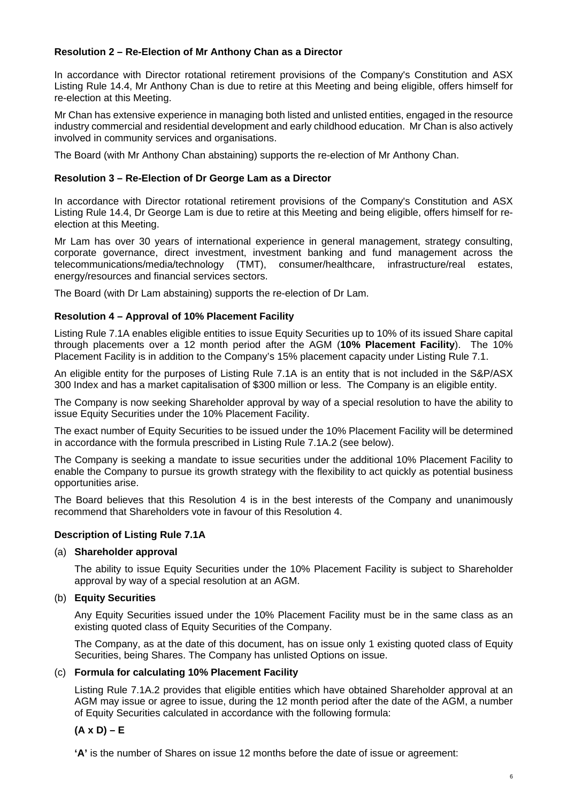#### **Resolution 2 – Re-Election of Mr Anthony Chan as a Director**

In accordance with Director rotational retirement provisions of the Company's Constitution and ASX Listing Rule 14.4, Mr Anthony Chan is due to retire at this Meeting and being eligible, offers himself for re-election at this Meeting.

Mr Chan has extensive experience in managing both listed and unlisted entities, engaged in the resource industry commercial and residential development and early childhood education. Mr Chan is also actively involved in community services and organisations.

The Board (with Mr Anthony Chan abstaining) supports the re-election of Mr Anthony Chan.

#### **Resolution 3 – Re-Election of Dr George Lam as a Director**

In accordance with Director rotational retirement provisions of the Company's Constitution and ASX Listing Rule 14.4, Dr George Lam is due to retire at this Meeting and being eligible, offers himself for reelection at this Meeting.

Mr Lam has over 30 years of international experience in general management, strategy consulting, corporate governance, direct investment, investment banking and fund management across the telecommunications/media/technology (TMT), consumer/healthcare, infrastructure/real estates, energy/resources and financial services sectors.

The Board (with Dr Lam abstaining) supports the re-election of Dr Lam.

#### **Resolution 4 – Approval of 10% Placement Facility**

Listing Rule 7.1A enables eligible entities to issue Equity Securities up to 10% of its issued Share capital through placements over a 12 month period after the AGM (**10% Placement Facility**). The 10% Placement Facility is in addition to the Company's 15% placement capacity under Listing Rule 7.1.

An eligible entity for the purposes of Listing Rule 7.1A is an entity that is not included in the S&P/ASX 300 Index and has a market capitalisation of \$300 million or less. The Company is an eligible entity.

The Company is now seeking Shareholder approval by way of a special resolution to have the ability to issue Equity Securities under the 10% Placement Facility.

The exact number of Equity Securities to be issued under the 10% Placement Facility will be determined in accordance with the formula prescribed in Listing Rule 7.1A.2 (see below).

The Company is seeking a mandate to issue securities under the additional 10% Placement Facility to enable the Company to pursue its growth strategy with the flexibility to act quickly as potential business opportunities arise.

The Board believes that this Resolution 4 is in the best interests of the Company and unanimously recommend that Shareholders vote in favour of this Resolution 4.

#### **Description of Listing Rule 7.1A**

#### (a) **Shareholder approval**

The ability to issue Equity Securities under the 10% Placement Facility is subject to Shareholder approval by way of a special resolution at an AGM.

#### (b) **Equity Securities**

Any Equity Securities issued under the 10% Placement Facility must be in the same class as an existing quoted class of Equity Securities of the Company.

The Company, as at the date of this document, has on issue only 1 existing quoted class of Equity Securities, being Shares. The Company has unlisted Options on issue.

#### (c) **Formula for calculating 10% Placement Facility**

Listing Rule 7.1A.2 provides that eligible entities which have obtained Shareholder approval at an AGM may issue or agree to issue, during the 12 month period after the date of the AGM, a number of Equity Securities calculated in accordance with the following formula:

#### **(A x D) – E**

**'A'** is the number of Shares on issue 12 months before the date of issue or agreement: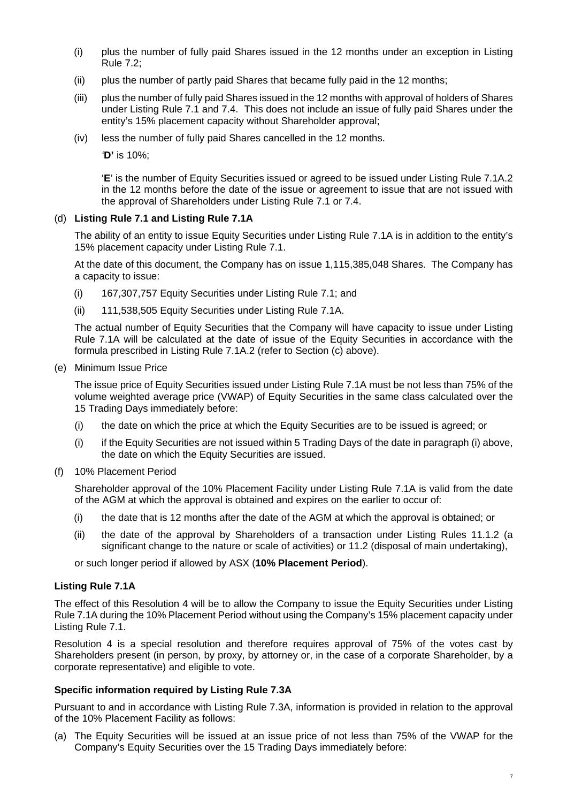- (i) plus the number of fully paid Shares issued in the 12 months under an exception in Listing Rule 7.2;
- (ii) plus the number of partly paid Shares that became fully paid in the 12 months;
- (iii) plus the number of fully paid Shares issued in the 12 months with approval of holders of Shares under Listing Rule 7.1 and 7.4. This does not include an issue of fully paid Shares under the entity's 15% placement capacity without Shareholder approval;
- (iv) less the number of fully paid Shares cancelled in the 12 months.

*'***D'** is 10%;

'**E**' is the number of Equity Securities issued or agreed to be issued under Listing Rule 7.1A.2 in the 12 months before the date of the issue or agreement to issue that are not issued with the approval of Shareholders under Listing Rule 7.1 or 7.4.

#### (d) **Listing Rule 7.1 and Listing Rule 7.1A**

The ability of an entity to issue Equity Securities under Listing Rule 7.1A is in addition to the entity's 15% placement capacity under Listing Rule 7.1.

At the date of this document, the Company has on issue 1,115,385,048 Shares. The Company has a capacity to issue:

- (i) 167,307,757 Equity Securities under Listing Rule 7.1; and
- (ii) 111,538,505 Equity Securities under Listing Rule 7.1A.

The actual number of Equity Securities that the Company will have capacity to issue under Listing Rule 7.1A will be calculated at the date of issue of the Equity Securities in accordance with the formula prescribed in Listing Rule 7.1A.2 (refer to Section (c) above).

(e) Minimum Issue Price

The issue price of Equity Securities issued under Listing Rule 7.1A must be not less than 75% of the volume weighted average price (VWAP) of Equity Securities in the same class calculated over the 15 Trading Days immediately before:

- (i) the date on which the price at which the Equity Securities are to be issued is agreed; or
- (i) if the Equity Securities are not issued within 5 Trading Days of the date in paragraph (i) above, the date on which the Equity Securities are issued.
- (f) 10% Placement Period

Shareholder approval of the 10% Placement Facility under Listing Rule 7.1A is valid from the date of the AGM at which the approval is obtained and expires on the earlier to occur of:

- (i) the date that is 12 months after the date of the AGM at which the approval is obtained; or
- (ii) the date of the approval by Shareholders of a transaction under Listing Rules 11.1.2 (a significant change to the nature or scale of activities) or 11.2 (disposal of main undertaking),

or such longer period if allowed by ASX (**10% Placement Period**).

#### **Listing Rule 7.1A**

The effect of this Resolution 4 will be to allow the Company to issue the Equity Securities under Listing Rule 7.1A during the 10% Placement Period without using the Company's 15% placement capacity under Listing Rule 7.1.

Resolution 4 is a special resolution and therefore requires approval of 75% of the votes cast by Shareholders present (in person, by proxy, by attorney or, in the case of a corporate Shareholder, by a corporate representative) and eligible to vote.

#### **Specific information required by Listing Rule 7.3A**

Pursuant to and in accordance with Listing Rule 7.3A, information is provided in relation to the approval of the 10% Placement Facility as follows:

(a) The Equity Securities will be issued at an issue price of not less than 75% of the VWAP for the Company's Equity Securities over the 15 Trading Days immediately before: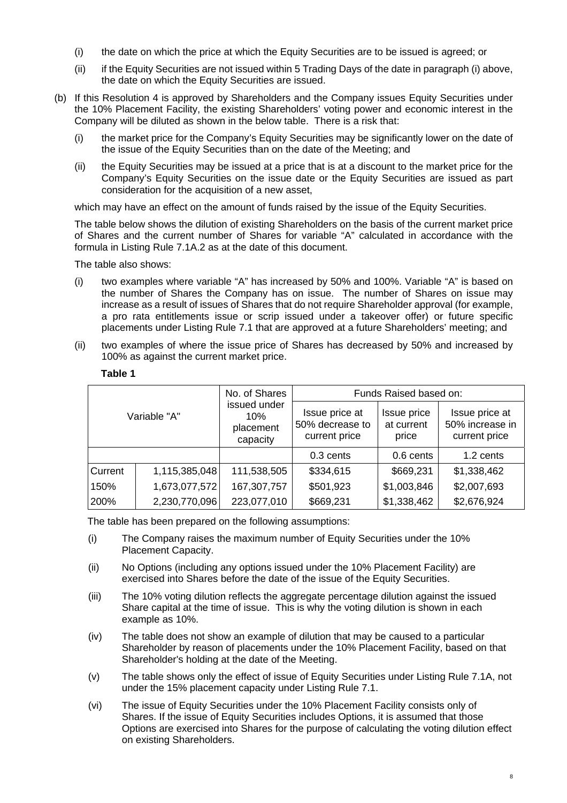- (i) the date on which the price at which the Equity Securities are to be issued is agreed; or
- (ii) if the Equity Securities are not issued within 5 Trading Days of the date in paragraph (i) above, the date on which the Equity Securities are issued.
- (b) If this Resolution 4 is approved by Shareholders and the Company issues Equity Securities under the 10% Placement Facility, the existing Shareholders' voting power and economic interest in the Company will be diluted as shown in the below table. There is a risk that:
	- (i) the market price for the Company's Equity Securities may be significantly lower on the date of the issue of the Equity Securities than on the date of the Meeting; and
	- (ii) the Equity Securities may be issued at a price that is at a discount to the market price for the Company's Equity Securities on the issue date or the Equity Securities are issued as part consideration for the acquisition of a new asset,

which may have an effect on the amount of funds raised by the issue of the Equity Securities.

The table below shows the dilution of existing Shareholders on the basis of the current market price of Shares and the current number of Shares for variable "A" calculated in accordance with the formula in Listing Rule 7.1A.2 as at the date of this document.

The table also shows:

- (i) two examples where variable "A" has increased by 50% and 100%. Variable "A" is based on the number of Shares the Company has on issue. The number of Shares on issue may increase as a result of issues of Shares that do not require Shareholder approval (for example, a pro rata entitlements issue or scrip issued under a takeover offer) or future specific placements under Listing Rule 7.1 that are approved at a future Shareholders' meeting; and
- (ii) two examples of where the issue price of Shares has decreased by 50% and increased by 100% as against the current market price.

| Variable "A"   |               | No. of Shares<br>issued under<br>10%<br>placement<br>capacity | Funds Raised based on:                             |                                    |                                                    |
|----------------|---------------|---------------------------------------------------------------|----------------------------------------------------|------------------------------------|----------------------------------------------------|
|                |               |                                                               | Issue price at<br>50% decrease to<br>current price | Issue price<br>at current<br>price | Issue price at<br>50% increase in<br>current price |
|                |               |                                                               | 0.3 cents                                          | 0.6 cents                          | 1.2 cents                                          |
| <b>Current</b> | 1,115,385,048 | 111,538,505                                                   | \$334,615                                          | \$669,231                          | \$1,338,462                                        |
| 150%           | 1,673,077,572 | 167,307,757                                                   | \$501,923                                          | \$1,003,846                        | \$2,007,693                                        |
| 200%           | 2,230,770,096 | 223,077,010                                                   | \$669,231                                          | \$1,338,462                        | \$2,676,924                                        |

#### **Table 1**

The table has been prepared on the following assumptions:

- (i) The Company raises the maximum number of Equity Securities under the 10% Placement Capacity.
- (ii) No Options (including any options issued under the 10% Placement Facility) are exercised into Shares before the date of the issue of the Equity Securities.
- (iii) The 10% voting dilution reflects the aggregate percentage dilution against the issued Share capital at the time of issue. This is why the voting dilution is shown in each example as 10%.
- (iv) The table does not show an example of dilution that may be caused to a particular Shareholder by reason of placements under the 10% Placement Facility, based on that Shareholder's holding at the date of the Meeting.
- (v) The table shows only the effect of issue of Equity Securities under Listing Rule 7.1A, not under the 15% placement capacity under Listing Rule 7.1.
- (vi) The issue of Equity Securities under the 10% Placement Facility consists only of Shares. If the issue of Equity Securities includes Options, it is assumed that those Options are exercised into Shares for the purpose of calculating the voting dilution effect on existing Shareholders.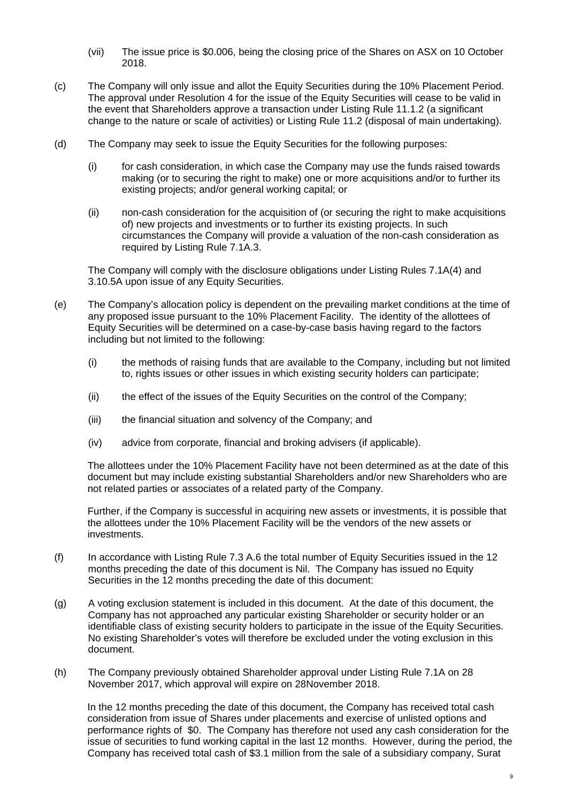- (vii) The issue price is \$0.006, being the closing price of the Shares on ASX on 10 October 2018.
- (c) The Company will only issue and allot the Equity Securities during the 10% Placement Period. The approval under Resolution 4 for the issue of the Equity Securities will cease to be valid in the event that Shareholders approve a transaction under Listing Rule 11.1.2 (a significant change to the nature or scale of activities) or Listing Rule 11.2 (disposal of main undertaking).
- (d) The Company may seek to issue the Equity Securities for the following purposes:
	- (i) for cash consideration, in which case the Company may use the funds raised towards making (or to securing the right to make) one or more acquisitions and/or to further its existing projects; and/or general working capital; or
	- (ii) non-cash consideration for the acquisition of (or securing the right to make acquisitions of) new projects and investments or to further its existing projects. In such circumstances the Company will provide a valuation of the non-cash consideration as required by Listing Rule 7.1A.3.

The Company will comply with the disclosure obligations under Listing Rules 7.1A(4) and 3.10.5A upon issue of any Equity Securities.

- (e) The Company's allocation policy is dependent on the prevailing market conditions at the time of any proposed issue pursuant to the 10% Placement Facility. The identity of the allottees of Equity Securities will be determined on a case-by-case basis having regard to the factors including but not limited to the following:
	- (i) the methods of raising funds that are available to the Company, including but not limited to, rights issues or other issues in which existing security holders can participate;
	- (ii) the effect of the issues of the Equity Securities on the control of the Company;
	- (iii) the financial situation and solvency of the Company; and
	- (iv) advice from corporate, financial and broking advisers (if applicable).

The allottees under the 10% Placement Facility have not been determined as at the date of this document but may include existing substantial Shareholders and/or new Shareholders who are not related parties or associates of a related party of the Company.

Further, if the Company is successful in acquiring new assets or investments, it is possible that the allottees under the 10% Placement Facility will be the vendors of the new assets or investments.

- (f) In accordance with Listing Rule 7.3 A.6 the total number of Equity Securities issued in the 12 months preceding the date of this document is Nil. The Company has issued no Equity Securities in the 12 months preceding the date of this document:
- (g) A voting exclusion statement is included in this document. At the date of this document, the Company has not approached any particular existing Shareholder or security holder or an identifiable class of existing security holders to participate in the issue of the Equity Securities. No existing Shareholder's votes will therefore be excluded under the voting exclusion in this document.
- (h) The Company previously obtained Shareholder approval under Listing Rule 7.1A on 28 November 2017, which approval will expire on 28November 2018.

In the 12 months preceding the date of this document, the Company has received total cash consideration from issue of Shares under placements and exercise of unlisted options and performance rights of \$0. The Company has therefore not used any cash consideration for the issue of securities to fund working capital in the last 12 months. However, during the period, the Company has received total cash of \$3.1 million from the sale of a subsidiary company, Surat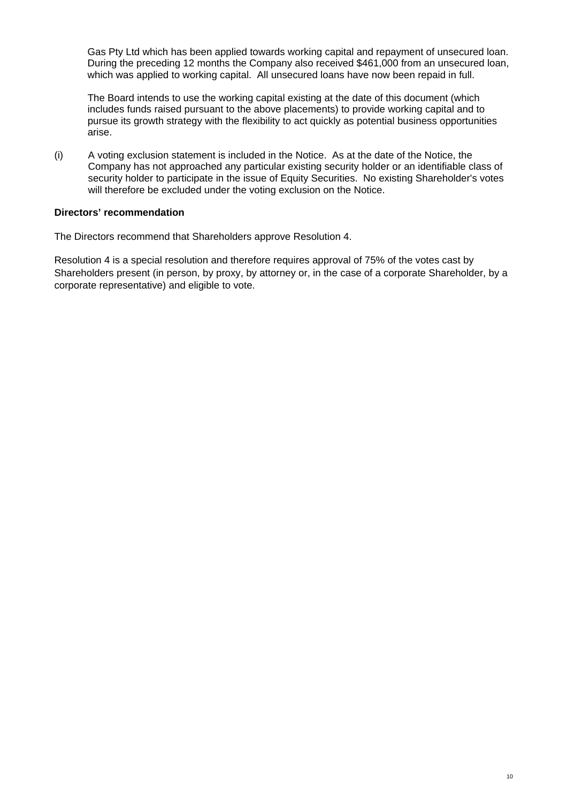Gas Pty Ltd which has been applied towards working capital and repayment of unsecured loan. During the preceding 12 months the Company also received \$461,000 from an unsecured loan, which was applied to working capital. All unsecured loans have now been repaid in full.

The Board intends to use the working capital existing at the date of this document (which includes funds raised pursuant to the above placements) to provide working capital and to pursue its growth strategy with the flexibility to act quickly as potential business opportunities arise.

(i) A voting exclusion statement is included in the Notice. As at the date of the Notice, the Company has not approached any particular existing security holder or an identifiable class of security holder to participate in the issue of Equity Securities. No existing Shareholder's votes will therefore be excluded under the voting exclusion on the Notice.

#### **Directors' recommendation**

The Directors recommend that Shareholders approve Resolution 4.

Resolution 4 is a special resolution and therefore requires approval of 75% of the votes cast by Shareholders present (in person, by proxy, by attorney or, in the case of a corporate Shareholder, by a corporate representative) and eligible to vote.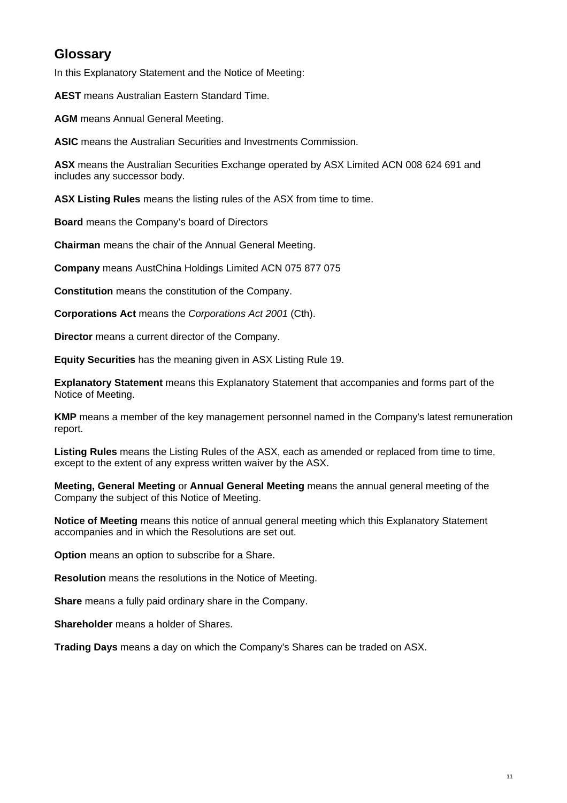# **Glossary**

In this Explanatory Statement and the Notice of Meeting:

**AEST** means Australian Eastern Standard Time.

**AGM** means Annual General Meeting.

**ASIC** means the Australian Securities and Investments Commission.

**ASX** means the Australian Securities Exchange operated by ASX Limited ACN 008 624 691 and includes any successor body.

**ASX Listing Rules** means the listing rules of the ASX from time to time.

**Board** means the Company's board of Directors

**Chairman** means the chair of the Annual General Meeting.

**Company** means AustChina Holdings Limited ACN 075 877 075

**Constitution** means the constitution of the Company.

**Corporations Act** means the *Corporations Act 2001* (Cth).

**Director** means a current director of the Company.

**Equity Securities** has the meaning given in ASX Listing Rule 19.

**Explanatory Statement** means this Explanatory Statement that accompanies and forms part of the Notice of Meeting.

**KMP** means a member of the key management personnel named in the Company's latest remuneration report.

**Listing Rules** means the Listing Rules of the ASX, each as amended or replaced from time to time, except to the extent of any express written waiver by the ASX.

**Meeting, General Meeting** or **Annual General Meeting** means the annual general meeting of the Company the subject of this Notice of Meeting.

**Notice of Meeting** means this notice of annual general meeting which this Explanatory Statement accompanies and in which the Resolutions are set out.

**Option** means an option to subscribe for a Share.

**Resolution** means the resolutions in the Notice of Meeting.

**Share** means a fully paid ordinary share in the Company.

**Shareholder** means a holder of Shares.

**Trading Days** means a day on which the Company's Shares can be traded on ASX.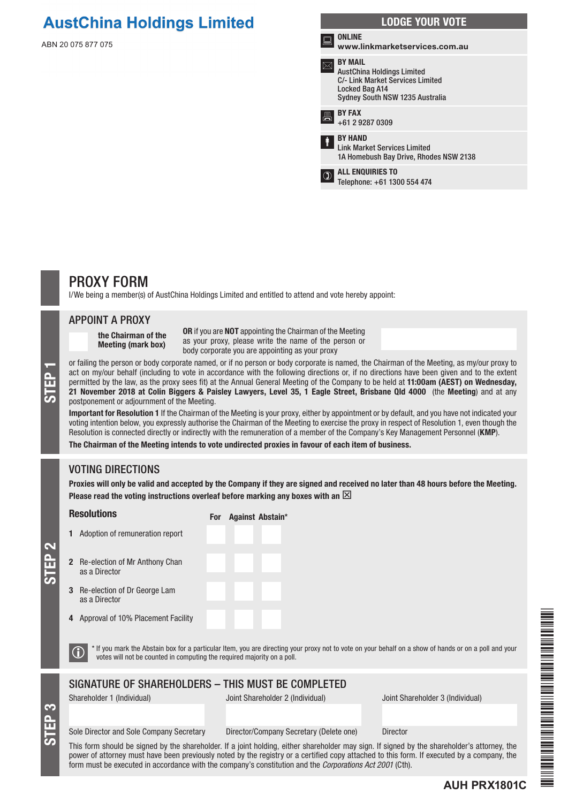# **AustChina Holdings Limited**

ABN 20 075 877 075



### PROXY FORM

I/We being a member(s) of AustChina Holdings Limited and entitled to attend and vote hereby appoint:

#### APPOINT A PROXY

the Chairman of the Meeting (mark box)

OR if you are NOT appointing the Chairman of the Meeting as your proxy, please write the name of the person or body corporate you are appointing as your proxy

or failing the person or body corporate named, or if no person or body corporate is named, the Chairman of the Meeting, as my/our proxy to<br>act on my/our behalf (including to vote in accordance with the following directions act on my/our behalf (including to vote in accordance with the following directions or, if no directions have been given and to the extent permitted by the law, as the proxy sees fit) at the Annual General Meeting of the Company to be held at 11:00am (AEST) on Wednesday, postponement or adjournment of the Meeting.

Important for Resolution 1 If the Chairman of the Meeting is your proxy, either by appointment or by default, and you have not indicated your voting intention below, you expressly authorise the Chairman of the Meeting to exercise the proxy in respect of Resolution 1, even though the Resolution is connected directly or indirectly with the remuneration of a member of the Company's Key Management Personnel (KMP).

The Chairman of the Meeting intends to vote undirected proxies in favour of each item of business.

#### VOTING DIRECTIONS

Proxies will only be valid and accepted by the Company if they are signed and received no later than 48 hours before the Meeting. Please read the voting instructions overleaf before marking any boxes with an  $\boxtimes$ 

#### Resolutions

For Against Abstain\*

2 Re-election of Mr Anthony Chan as a Director

1 Adoption of remuneration report

- 3 Re-election of Dr George Lam as a Director
- 4 Approval of 10% Placement Facility

 $\bigcirc$  \* If you mark the Abstain box for a particular Item, you are directing your proxy not to vote on your behalf on a show of hands or on a poll and your votes will not be counted in computing the required majority on a

#### SIGNATURE OF SHAREHOLDERS – THIS MUST BE COMPLETED

STEP 3

STEP 2

Shareholder 1 (Individual) Joint Shareholder 2 (Individual) Joint Shareholder 3 (Individual)

#### Sole Director and Sole Company Secretary Director/Company Secretary (Delete one) Director

This form should be signed by the shareholder. If a joint holding, either shareholder may sign. If signed by the shareholder's attorney, the power of attorney must have been previously noted by the registry or a certified copy attached to this form. If executed by a company, the form must be executed in accordance with the company's constitution and the *Corporations Act 2001* (Cth).



#### **AUH PRX1801C**